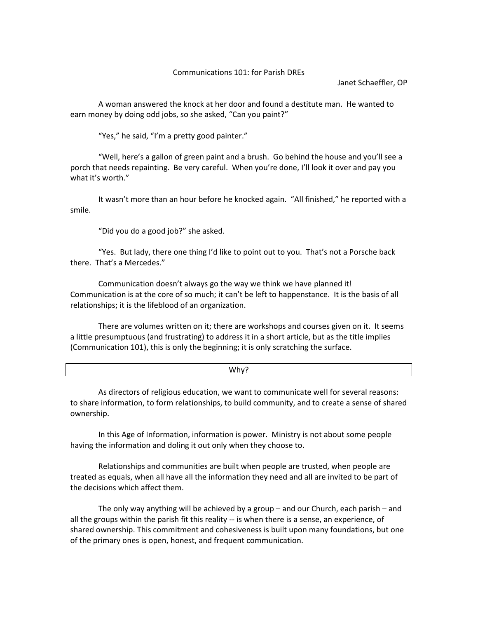## Communications 101: for Parish DREs

Janet Schaeffler, OP

A woman answered the knock at her door and found a destitute man. He wanted to earn money by doing odd jobs, so she asked, "Can you paint?"

"Yes," he said, "I'm a pretty good painter."

"Well, here's a gallon of green paint and a brush. Go behind the house and you'll see a porch that needs repainting. Be very careful. When you're done, I'll look it over and pay you what it's worth."

It wasn't more than an hour before he knocked again. "All finished," he reported with a smile.

"Did you do a good job?" she asked.

"Yes. But lady, there one thing I'd like to point out to you. That's not a Porsche back there. That's a Mercedes."

Communication doesn't always go the way we think we have planned it! Communication is at the core of so much; it can't be left to happenstance. It is the basis of all relationships; it is the lifeblood of an organization.

There are volumes written on it; there are workshops and courses given on it. It seems a little presumptuous (and frustrating) to address it in a short article, but as the title implies (Communication 101), this is only the beginning; it is only scratching the surface.

As directors of religious education, we want to communicate well for several reasons: to share information, to form relationships, to build community, and to create a sense of shared ownership.

In this Age of Information, information is power. Ministry is not about some people having the information and doling it out only when they choose to.

Relationships and communities are built when people are trusted, when people are treated as equals, when all have all the information they need and all are invited to be part of the decisions which affect them.

The only way anything will be achieved by a group – and our Church, each parish – and all the groups within the parish fit this reality -- is when there is a sense, an experience, of shared ownership. This commitment and cohesiveness is built upon many foundations, but one of the primary ones is open, honest, and frequent communication.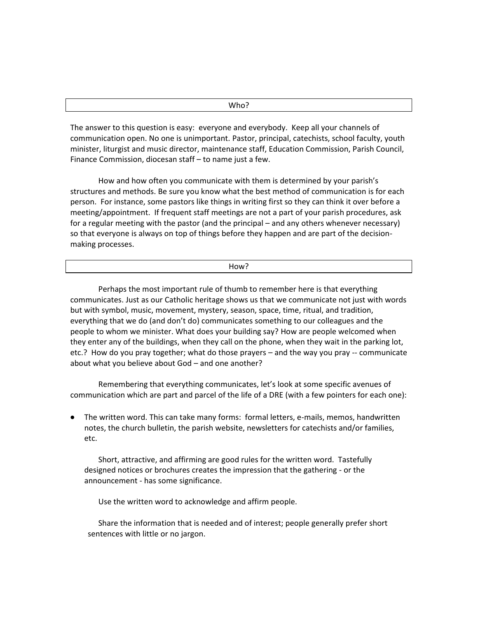| Who?                                                                                   |  |  |
|----------------------------------------------------------------------------------------|--|--|
|                                                                                        |  |  |
| The apswer to this question is easy: everyone and everybody. Keen all your shappels of |  |  |

The answer to this question is easy: everyone and everybody. Keep all your channels of communication open. No one is unimportant. Pastor, principal, catechists, school faculty, youth minister, liturgist and music director, maintenance staff, Education Commission, Parish Council, Finance Commission, diocesan staff – to name just a few.

How and how often you communicate with them is determined by your parish's structures and methods. Be sure you know what the best method of communication is for each person. For instance, some pastors like things in writing first so they can think it over before a meeting/appointment. If frequent staff meetings are not a part of your parish procedures, ask for a regular meeting with the pastor (and the principal – and any others whenever necessary) so that everyone is always on top of things before they happen and are part of the decisionmaking processes.

How?

Perhaps the most important rule of thumb to remember here is that everything communicates. Just as our Catholic heritage shows us that we communicate not just with words but with symbol, music, movement, mystery, season, space, time, ritual, and tradition, everything that we do (and don't do) communicates something to our colleagues and the people to whom we minister. What does your building say? How are people welcomed when they enter any of the buildings, when they call on the phone, when they wait in the parking lot, etc.? How do you pray together; what do those prayers – and the way you pray -- communicate about what you believe about God – and one another?

Remembering that everything communicates, let's look at some specific avenues of communication which are part and parcel of the life of a DRE (with a few pointers for each one):

 The written word. This can take many forms: formal letters, e-mails, memos, handwritten notes, the church bulletin, the parish website, newsletters for catechists and/or families, etc.

Short, attractive, and affirming are good rules for the written word. Tastefully designed notices or brochures creates the impression that the gathering - or the announcement - has some significance.

Use the written word to acknowledge and affirm people.

Share the information that is needed and of interest; people generally prefer short sentences with little or no jargon.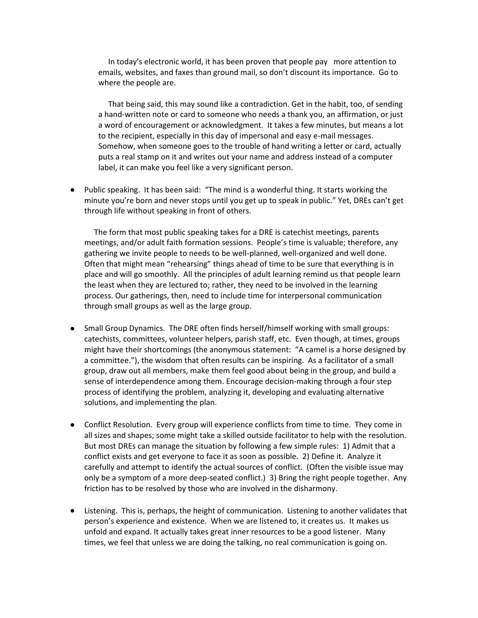In today's electronic world, it has been proven that people pay more attention to emails, websites, and faxes than ground mail, so don't discount its importance. Go to where the people are.

 That being said, this may sound like a contradiction. Get in the habit, too, of sending a hand-written note or card to someone who needs a thank you, an affirmation, or just a word of encouragement or acknowledgment. It takes a few minutes, but means a lot to the recipient, especially in this day of impersonal and easy e-mail messages. Somehow, when someone goes to the trouble of hand writing a letter or card, actually puts a real stamp on it and writes out your name and address instead of a computer label, it can make you feel like a very significant person.

• Public speaking. It has been said: "The mind is a wonderful thing. It starts working the minute you're born and never stops until you get up to speak in public." Yet, DREs can't get through life without speaking in front of others.

 The form that most public speaking takes for a DRE is catechist meetings, parents meetings, and/or adult faith formation sessions. People's time is valuable; therefore, any gathering we invite people to needs to be well-planned, well-organized and well done. Often that might mean "rehearsing" things ahead of time to be sure that everything is in place and will go smoothly. All the principles of adult learning remind us that people learn the least when they are lectured to; rather, they need to be involved in the learning process. Our gatherings, then, need to include time for interpersonal communication through small groups as well as the large group.

- Small Group Dynamics. The DRE often finds herself/himself working with small groups: catechists, committees, volunteer helpers, parish staff, etc. Even though, at times, groups might have their shortcomings (the anonymous statement: "A camel is a horse designed by a committee."), the wisdom that often results can be inspiring. As a facilitator of a small group, draw out all members, make them feel good about being in the group, and build a sense of interdependence among them. Encourage decision-making through a four step process of identifying the problem, analyzing it, developing and evaluating alternative solutions, and implementing the plan.
- Conflict Resolution. Every group will experience conflicts from time to time. They come in all sizes and shapes; some might take a skilled outside facilitator to help with the resolution. But most DREs can manage the situation by following a few simple rules: 1) Admit that a conflict exists and get everyone to face it as soon as possible. 2) Define it. Analyze it carefully and attempt to identify the actual sources of conflict. (Often the visible issue may only be a symptom of a more deep-seated conflict.) 3) Bring the right people together. Any friction has to be resolved by those who are involved in the disharmony.
- Listening. This is, perhaps, the height of communication. Listening to another validates that person's experience and existence. When we are listened to, it creates us. It makes us unfold and expand. It actually takes great inner resources to be a good listener. Many times, we feel that unless we are doing the talking, no real communication is going on.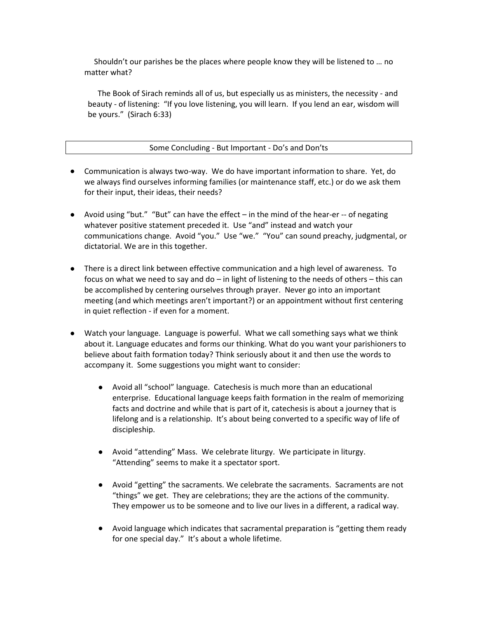Shouldn't our parishes be the places where people know they will be listened to … no matter what?

 The Book of Sirach reminds all of us, but especially us as ministers, the necessity - and beauty - of listening: "If you love listening, you will learn. If you lend an ear, wisdom will be yours." (Sirach 6:33)

## Some Concluding - But Important - Do's and Don'ts

- Communication is always two-way. We do have important information to share. Yet, do we always find ourselves informing families (or maintenance staff, etc.) or do we ask them for their input, their ideas, their needs?
- Avoid using "but." "But" can have the effect in the mind of the hear-er -- of negating whatever positive statement preceded it. Use "and" instead and watch your communications change. Avoid "you." Use "we." "You" can sound preachy, judgmental, or dictatorial. We are in this together.
- There is a direct link between effective communication and a high level of awareness. To focus on what we need to say and do – in light of listening to the needs of others – this can be accomplished by centering ourselves through prayer. Never go into an important meeting (and which meetings aren't important?) or an appointment without first centering in quiet reflection - if even for a moment.
- Watch your language. Language is powerful. What we call something says what we think about it. Language educates and forms our thinking. What do you want your parishioners to believe about faith formation today? Think seriously about it and then use the words to accompany it. Some suggestions you might want to consider:
	- Avoid all "school" language. Catechesis is much more than an educational enterprise. Educational language keeps faith formation in the realm of memorizing facts and doctrine and while that is part of it, catechesis is about a journey that is lifelong and is a relationship. It's about being converted to a specific way of life of discipleship.
	- Avoid "attending" Mass. We celebrate liturgy. We participate in liturgy. "Attending" seems to make it a spectator sport.
	- Avoid "getting" the sacraments. We celebrate the sacraments. Sacraments are not "things" we get. They are celebrations; they are the actions of the community. They empower us to be someone and to live our lives in a different, a radical way.
	- Avoid language which indicates that sacramental preparation is "getting them ready for one special day." It's about a whole lifetime.